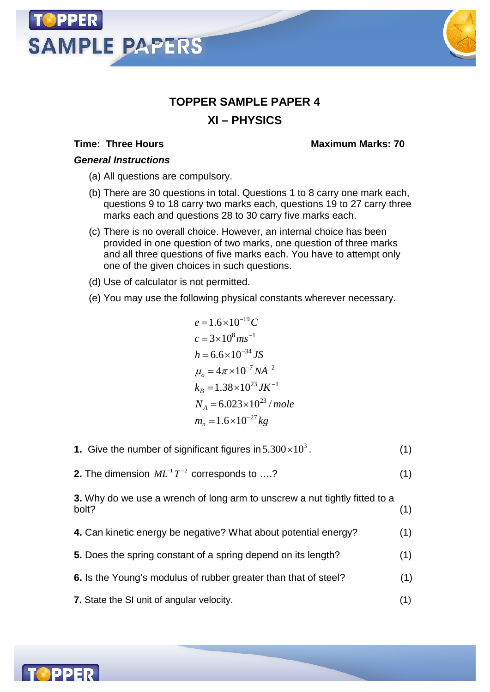# **SAMPLE PAPERS**



## **TOPPER SAMPLE PAPER 4 XI – PHYSICS**

#### **Time: Three Hours Maximum Marks: 70**

#### *General Instructions*

- (a) All questions are compulsory.
- (b) There are 30 questions in total. Questions 1 to 8 carry one mark each, questions 9 to 18 carry two marks each, questions 19 to 27 carry three marks each and questions 28 to 30 carry five marks each.
- (c) There is no overall choice. However, an internal choice has been provided in one question of two marks, one question of three marks and all three questions of five marks each. You have to attempt only one of the given choices in such questions.
- (d) Use of calculator is not permitted.
- (e) You may use the following physical constants wherever necessary.

$$
e = 1.6 \times 10^{-19} C
$$
  
\n
$$
c = 3 \times 10^8 m s^{-1}
$$
  
\n
$$
h = 6.6 \times 10^{-34} JS
$$
  
\n
$$
\mu_o = 4\pi \times 10^{-7} NA^{-2}
$$
  
\n
$$
k_B = 1.38 \times 10^{23} JK^{-1}
$$
  
\n
$$
N_A = 6.023 \times 10^{23} / mole
$$
  
\n
$$
m_n = 1.6 \times 10^{-27} kg
$$

- **1.** Give the number of significant figures in  $5.300 \times 10^3$ .  $(1)$
- **2.** The dimension  $ML^{-1}T^{-2}$  corresponds to ....? (1)

**3.** Why do we use a wrench of long arm to unscrew a nut tightly fitted to a bolt? (1)

- **4.** Can kinetic energy be negative? What about potential energy? (1)
- **5.** Does the spring constant of a spring depend on its length? (1)
- **6.** Is the Young's modulus of rubber greater than that of steel? (1)
- **7.** State the SI unit of angular velocity. (1)

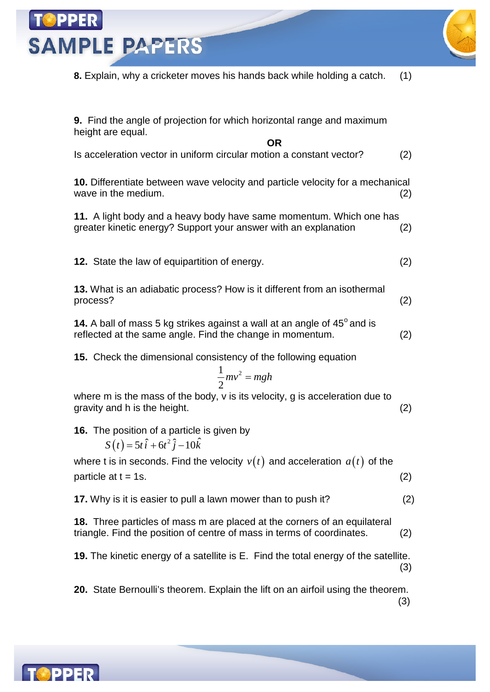**SAMPLE PAPERS** 

**8.** Explain, why a cricketer moves his hands back while holding a catch. (1)

**9.** Find the angle of projection for which horizontal range and maximum height are equal.

**OR**

Is acceleration vector in uniform circular motion a constant vector? (2)

**10.** Differentiate between wave velocity and particle velocity for a mechanical wave in the medium. (2)  $(2)$ 

**11.** A light body and a heavy body have same momentum. Which one has greater kinetic energy? Support your answer with an explanation (2)

**12.** State the law of equipartition of energy. (2)

**13.** What is an adiabatic process? How is it different from an isothermal process? (2)

14. A ball of mass 5 kg strikes against a wall at an angle of 45° and is reflected at the same angle. Find the change in momentum. (2)

**15.** Check the dimensional consistency of the following equation

$$
\frac{1}{2}mv^2 = mgh
$$

where m is the mass of the body, v is its velocity, g is acceleration due to gravity and h is the height. (2)

**16.** The position of a particle is given by

 $S(t) = 5t \hat{i} + 6t^2 \hat{j} - 10\hat{k}$ 

where t is in seconds. Find the velocity  $v(t)$  and acceleration  $a(t)$  of the  $particle at t = 1s.$  (2)

**17.** Why is it is easier to pull a lawn mower than to push it? (2)

**18.** Three particles of mass m are placed at the corners of an equilateral triangle. Find the position of centre of mass in terms of coordinates. (2)

**19.** The kinetic energy of a satellite is E. Find the total energy of the satellite. (3)

**20.** State Bernoulli's theorem. Explain the lift on an airfoil using the theorem. (3)

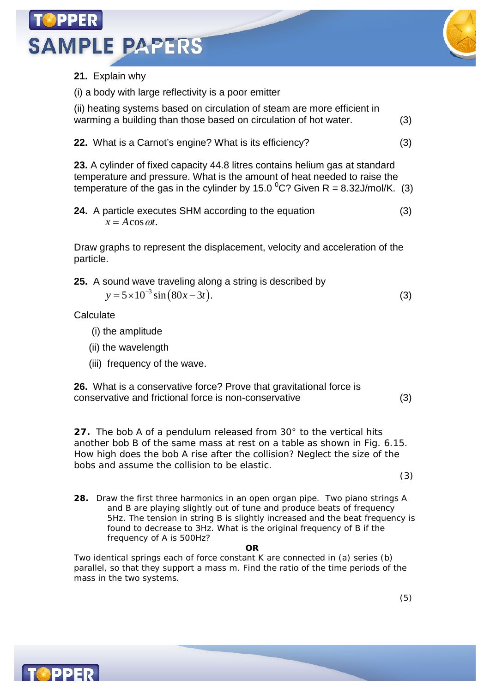



### **21.** Explain why

(i) a body with large reflectivity is a poor emitter

(ii) heating systems based on circulation of steam are more efficient in warming a building than those based on circulation of hot water. (3)

**22.** What is a Carnot's engine? What is its efficiency? (3)

**23.** A cylinder of fixed capacity 44.8 litres contains helium gas at standard temperature and pressure. What is the amount of heat needed to raise the temperature of the gas in the cylinder by 15.0  $^0C$ ? Given R = 8.32J/mol/K. (3)

**24.** A particle executes SHM according to the equation (3)  $x = A \cos \omega t$ .

Draw graphs to represent the displacement, velocity and acceleration of the particle.

**25.** A sound wave traveling along a string is described by  $y = 5 \times 10^{-3} \sin (80x - 3t).$  (3)

**Calculate** 

- (i) the amplitude
- (ii) the wavelength
- (iii) frequency of the wave.

**26.** What is a conservative force? Prove that gravitational force is conservative and frictional force is non-conservative (3)

**27.** The bob A of a pendulum released from 30° to the vertical hits another bob B of the same mass at rest on a table as shown in Fig. 6.15. How high does the bob A rise after the collision? Neglect the size of the bobs and assume the collision to be elastic.

(3)

**28.** Draw the first three harmonics in an open organ pipe. Two piano strings A and B are playing slightly out of tune and produce beats of frequency 5Hz. The tension in string B is slightly increased and the beat frequency is found to decrease to 3Hz. What is the original frequency of B if the frequency of A is 500Hz?

**OR**

Two identical springs each of force constant K are connected in (a) series (b) parallel, so that they support a mass m. Find the ratio of the time periods of the mass in the two systems.

**TOPPER**